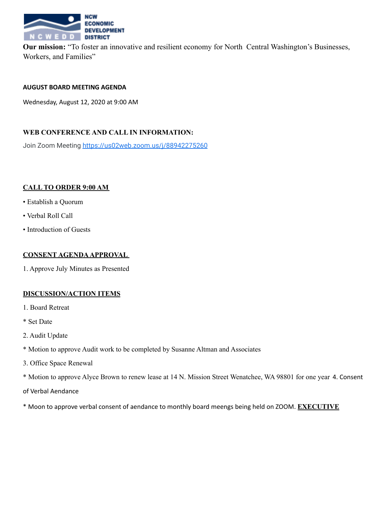

**Our mission:** "To foster an innovative and resilient economy for North Central Washington's Businesses, Workers, and Families"

#### **AUGUST BOARD MEETING AGENDA**

Wednesday, August 12, 2020 at 9:00 AM

## **WEB CONFERENCE AND CALL IN INFORMATION:**

Join Zoom Meeting https://us02web.zoom.us/j/88942275260

## **CALL TO ORDER 9:00 AM**

- Establish a Quorum
- Verbal Roll Call
- Introduction of Guests

## **CONSENT AGENDAAPPROVAL**

1. Approve July Minutes as Presented

## **DISCUSSION/ACTION ITEMS**

- 1. Board Retreat
- \* Set Date
- 2. Audit Update
- \* Motion to approve Audit work to be completed by Susanne Altman and Associates
- 3. Office Space Renewal
- \* Motion to approve Alyce Brown to renew lease at 14 N. Mission Street Wenatchee, WA 98801 for one year 4. Consent

of Verbal Aendance

\* Moon to approve verbal consent of aendance to monthly board meengs being held on ZOOM. **EXECUTIVE**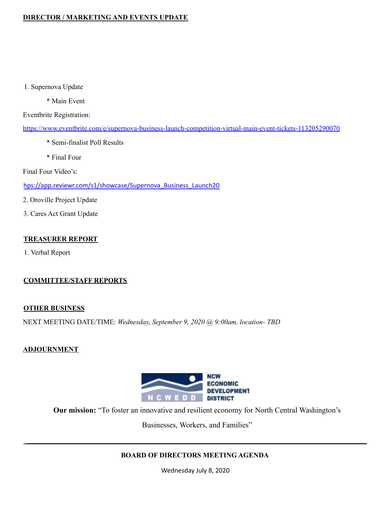# **DIRECTOR / MARKETING AND EVENTS UPDATE**

1. Supernova Update

\* Main Event

Eventbrite Registration:

https://www.eventbrite.com/e/supernova-business-launch-competition-virtual-main-event-tickets-113205290070

- \* Semi-finalist Poll Results
- \* Final Four

Final Four Video's:

hps://app.reviewr.com/s1/showcase/Supernova\_Business\_Launch20

- 2. Oroville Project Update
- 3. Cares Act Grant Update

## **TREASURER REPORT**

1. Verbal Report

## **COMMITTEE/STAFF REPORTS**

#### **OTHER BUSINESS**

NEXT MEETING DATE/TIME: *Wednesday, September 9, 2020 @ 9:00am, location- TBD*

## **ADJOURNMENT**



**Our mission:** "To foster an innovative and resilient economy for North Central Washington's

Businesses, Workers, and Families"

## **BOARD OF DIRECTORS MEETING AGENDA**

**\_\_\_\_\_\_\_\_\_\_\_\_\_\_\_\_\_\_\_\_\_\_\_\_\_\_\_\_\_\_\_\_\_\_\_\_\_\_\_\_\_\_\_\_\_\_\_\_\_\_\_\_\_\_\_\_\_\_\_\_\_\_\_\_\_\_\_\_\_\_\_\_\_\_\_\_\_\_\_\_\_\_\_\_\_\_\_\_\_\_\_\_\_\_\_\_\_\_**

Wednesday July 8, 2020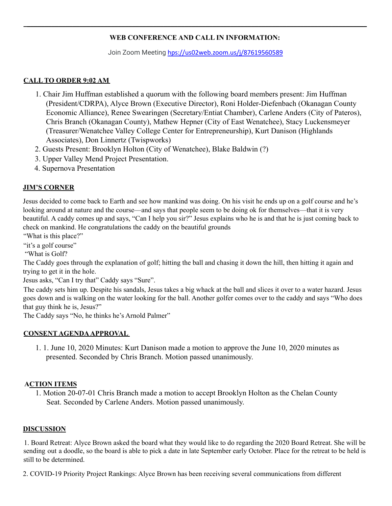# **WEB CONFERENCE AND CALL IN INFORMATION:**

**\_\_\_\_\_\_\_\_\_\_\_\_\_\_\_\_\_\_\_\_\_\_\_\_\_\_\_\_\_\_\_\_\_\_\_\_\_\_\_\_\_\_\_\_\_\_\_\_\_\_\_\_\_\_\_\_\_\_\_\_\_\_\_\_\_\_\_\_\_\_\_\_\_\_\_\_\_\_\_\_\_\_\_\_\_\_\_\_\_\_\_\_\_\_\_\_\_\_**

Join Zoom Meeting hps://us02web.zoom.us/j/87619560589

## **CALL TO ORDER 9:02 AM**

- 1. Chair Jim Huffman established a quorum with the following board members present: Jim Huffman (President/CDRPA), Alyce Brown (Executive Director), Roni Holder-Diefenbach (Okanagan County Economic Alliance), Renee Swearingen (Secretary/Entiat Chamber), Carlene Anders (City of Pateros), Chris Branch (Okanagan County), Mathew Hepner (City of East Wenatchee), Stacy Luckensmeyer (Treasurer/Wenatchee Valley College Center for Entrepreneurship), Kurt Danison (Highlands Associates), Don Linnertz (Twispworks)
- 2. Guests Present: Brooklyn Holton (City of Wenatchee), Blake Baldwin (?)
- 3. Upper Valley Mend Project Presentation.
- 4. Supernova Presentation

## **JIM'S CORNER**

Jesus decided to come back to Earth and see how mankind was doing. On his visit he ends up on a golf course and he's looking around at nature and the course—and says that people seem to be doing ok for themselves—that it is very beautiful. A caddy comes up and says, "Can I help you sir?" Jesus explains who he is and that he is just coming back to check on mankind. He congratulations the caddy on the beautiful grounds

"What is this place?"

"it's a golf course"

"What is Golf?

The Caddy goes through the explanation of golf; hitting the ball and chasing it down the hill, then hitting it again and trying to get it in the hole.

Jesus asks, "Can I try that" Caddy says "Sure".

The caddy sets him up. Despite his sandals, Jesus takes a big whack at the ball and slices it over to a water hazard. Jesus goes down and is walking on the water looking for the ball. Another golfer comes over to the caddy and says "Who does that guy think he is, Jesus?"

The Caddy says "No, he thinks he's Arnold Palmer"

## **CONSENT AGENDAAPPROVAL**

1. 1. June 10, 2020 Minutes: Kurt Danison made a motion to approve the June 10, 2020 minutes as presented. Seconded by Chris Branch. Motion passed unanimously.

## **ACTION ITEMS**

1. Motion 20-07-01 Chris Branch made a motion to accept Brooklyn Holton as the Chelan County Seat. Seconded by Carlene Anders. Motion passed unanimously.

#### **DISCUSSION**

1. Board Retreat: Alyce Brown asked the board what they would like to do regarding the 2020 Board Retreat. She will be sending out a doodle, so the board is able to pick a date in late September early October. Place for the retreat to be held is still to be determined.

2. COVID-19 Priority Project Rankings: Alyce Brown has been receiving several communications from different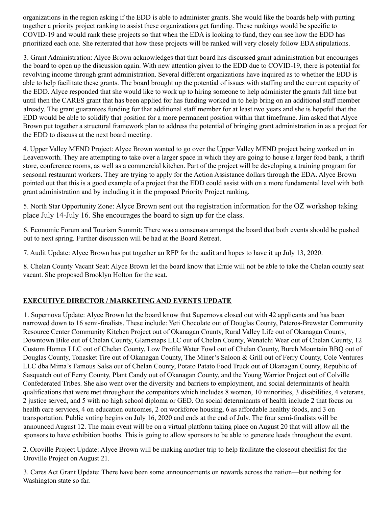organizations in the region asking if the EDD is able to administer grants. She would like the boards help with putting together a priority project ranking to assist these organizations get funding. These rankings would be specific to COVID-19 and would rank these projects so that when the EDA is looking to fund, they can see how the EDD has prioritized each one. She reiterated that how these projects will be ranked will very closely follow EDA stipulations.

3. Grant Administration: Alyce Brown acknowledges that that board has discussed grant administration but encourages the board to open up the discussion again. With new attention given to the EDD due to COVID-19, there is potential for revolving income through grant administration. Several different organizations have inquired as to whether the EDD is able to help facilitate these grants. The board brought up the potential of issues with staffing and the current capacity of the EDD. Alyce responded that she would like to work up to hiring someone to help administer the grants full time but until then the CARES grant that has been applied for has funding worked in to help bring on an additional staff member already. The grant guarantees funding for that additional staff member for at least two years and she is hopeful that the EDD would be able to solidify that position for a more permanent position within that timeframe. Jim asked that Alyce Brown put together a structural framework plan to address the potential of bringing grant administration in as a project for the EDD to discuss at the next board meeting.

4. Upper Valley MEND Project: Alyce Brown wanted to go over the Upper Valley MEND project being worked on in Leavenworth. They are attempting to take over a larger space in which they are going to house a larger food bank, a thrift store, conference rooms, as well as a commercial kitchen. Part of the project will be developing a training program for seasonal restaurant workers. They are trying to apply for the Action Assistance dollars through the EDA. Alyce Brown pointed out that this is a good example of a project that the EDD could assist with on a more fundamental level with both grant administration and by including it in the proposed Priority Project ranking.

5. North Star Opportunity Zone: Alyce Brown sent out the registration information for the OZ workshop taking place July 14-July 16. She encourages the board to sign up for the class.

6. Economic Forum and Tourism Summit: There was a consensus amongst the board that both events should be pushed out to next spring. Further discussion will be had at the Board Retreat.

7. Audit Update: Alyce Brown has put together an RFP for the audit and hopes to have it up July 13, 2020.

8. Chelan County Vacant Seat: Alyce Brown let the board know that Ernie will not be able to take the Chelan county seat vacant. She proposed Brooklyn Holton for the seat.

# **EXECUTIVE DIRECTOR / MARKETING AND EVENTS UPDATE**

1. Supernova Update: Alyce Brown let the board know that Supernova closed out with 42 applicants and has been narrowed down to 16 semi-finalists. These include: Yeti Chocolate out of Douglas County, Pateros-Brewster Community Resource Center Community Kitchen Project out of Okanagan County, Rural Valley Life out of Okanagan County, Downtown Bike out of Chelan County, Glamsnaps LLC out of Chelan County, Wenatchi Wear out of Chelan County, 12 Custom Homes LLC out of Chelan County, Low Profile Water Fowl out of Chelan County, Burch Mountain BBQ out of Douglas County, Tonasket Tire out of Okanagan County, The Miner's Saloon & Grill out of Ferry County, Cole Ventures LLC dba Mima's Famous Salsa out of Chelan County, Potato Patato Food Truck out of Okanagan County, Republic of Sasquatch out of Ferry County, Plant Candy out of Okanagan County, and the Young Warrior Project out of Colville Confederated Tribes. She also went over the diversity and barriers to employment, and social determinants of health qualifications that were met throughout the competitors which includes 8 women, 10 minorities, 3 disabilities, 4 veterans, 2 justice served, and 5 with no high school diploma or GED. On social determinants of health include 2 that focus on health care services, 4 on education outcomes, 2 on workforce housing, 6 as affordable healthy foods, and 3 on transportation. Public voting begins on July 16, 2020 and ends at the end of July. The four semi-finalists will be announced August 12. The main event will be on a virtual platform taking place on August 20 that will allow all the sponsors to have exhibition booths. This is going to allow sponsors to be able to generate leads throughout the event.

2. Oroville Project Update: Alyce Brown will be making another trip to help facilitate the closeout checklist for the Oroville Project on August 21.

3. Cares Act Grant Update: There have been some announcements on rewards across the nation—but nothing for Washington state so far.